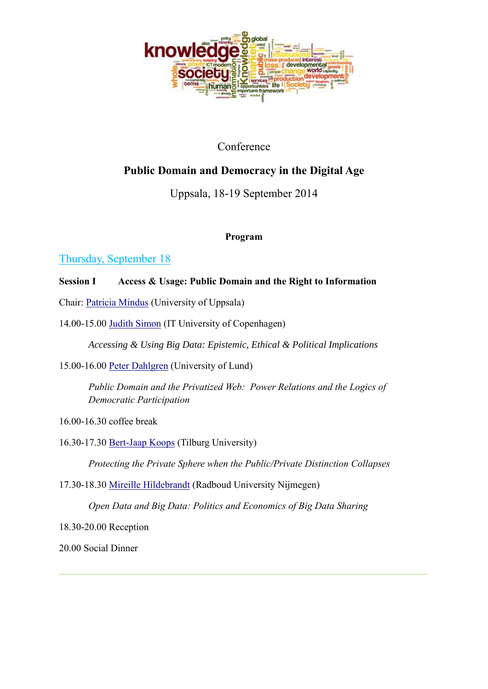

## Conference

## **Public Domain and Democracy in the Digital Age**

## Uppsala, 18-19 September 2014

### **Program**

# Thursday, September 18

### **Session I Access & Usage: Public Domain and the Right to Information**

- Chair: [Patricia Mindus](http://www.filosofi.uu.se/om_oss/Personal/Mindus__Patricia_/) (University of Uppsala)
- 14.00-15.00 [Judith Simon](http://www.itas.kit.edu/english/staff_simon_judith.php) (IT University of Copenhagen)

*Accessing & Using Big Data: Epistemic, Ethical & Political Implications*

15.00-16.00 [Peter Dahlgren](http://www.kom.lu.se/en/person/PeterDahlgren) (University of Lund)

*Public Domain and the Privatized Web: Power Relations and the Logics of Democratic Participation* 

16.00-16.30 coffee break

16.30-17.30 [Bert-Jaap Koops](http://www.tilburguniversity.edu/webwijs/show/?uid=e.j.koops) (Tilburg University)

*Protecting the Private Sphere when the Public/Private Distinction Collapses*

17.30-18.30 [Mireille Hildebrandt](http://www.vub.ac.be/LSTS/members/hildebrandt/) (Radboud University Nijmegen)

*Open Data and Big Data: Politics and Economics of Big Data Sharing*

18.30-20.00 Reception

20.00 Social Dinner